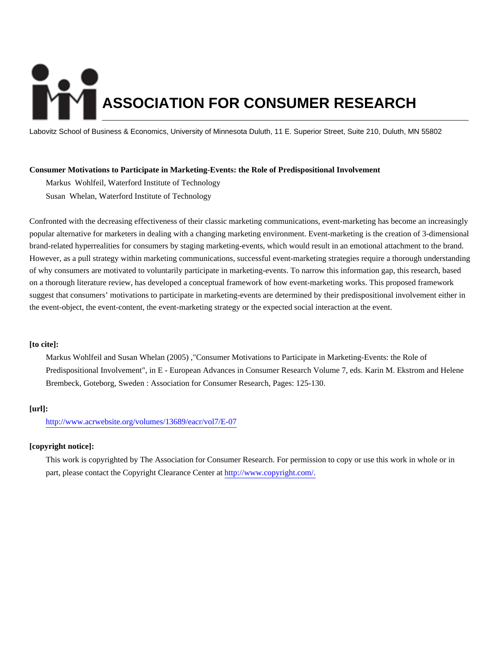# **ASSOCIATION FOR CONSUMER RESEARCH**

Labovitz School of Business & Economics, University of Minnesota Duluth, 11 E. Superior Street, Suite 210, Duluth, MN 55802

# **Consumer Motivations to Participate in Marketing-Events: the Role of Predispositional Involvement**

Markus Wohlfeil, Waterford Institute of Technology

Susan Whelan, Waterford Institute of Technology

Confronted with the decreasing effectiveness of their classic marketing communications, event-marketing has become an increasingly popular alternative for marketers in dealing with a changing marketing environment. Event-marketing is the creation of 3-dimensional brand-related hyperrealities for consumers by staging marketing-events, which would result in an emotional attachment to the brand. However, as a pull strategy within marketing communications, successful event-marketing strategies require a thorough understanding of why consumers are motivated to voluntarily participate in marketing-events. To narrow this information gap, this research, based on a thorough literature review, has developed a conceptual framework of how event-marketing works. This proposed framework suggest that consumers' motivations to participate in marketing-events are determined by their predispositional involvement either in the event-object, the event-content, the event-marketing strategy or the expected social interaction at the event.

# **[to cite]:**

Markus Wohlfeil and Susan Whelan (2005) ,"Consumer Motivations to Participate in Marketing-Events: the Role of Predispositional Involvement", in E - European Advances in Consumer Research Volume 7, eds. Karin M. Ekstrom and Helene Brembeck, Goteborg, Sweden : Association for Consumer Research, Pages: 125-130.

# **[url]:**

<http://www.acrwebsite.org/volumes/13689/eacr/vol7/E-07>

# **[copyright notice]:**

This work is copyrighted by The Association for Consumer Research. For permission to copy or use this work in whole or in part, please contact the Copyright Clearance Center at [http://www.copyright.com/.](http://www.copyright.com/)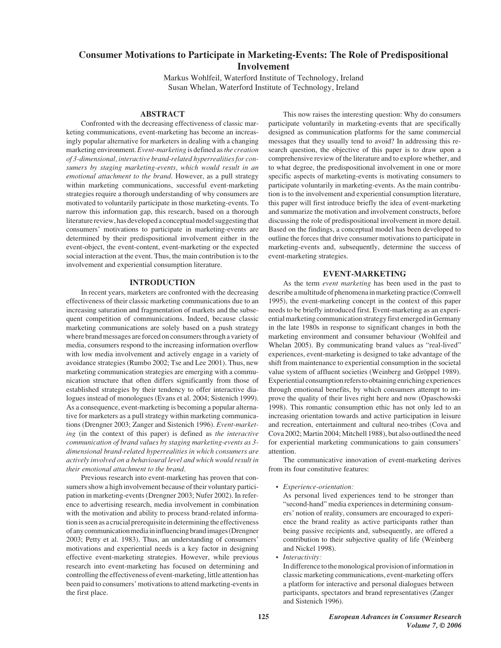# **Consumer Motivations to Participate in Marketing-Events: The Role of Predispositional Involvement**

Markus Wohlfeil, Waterford Institute of Technology, Ireland Susan Whelan, Waterford Institute of Technology, Ireland

## **ABSTRACT**

Confronted with the decreasing effectiveness of classic marketing communications, event-marketing has become an increasingly popular alternative for marketers in dealing with a changing marketing environment. *Event-marketing* is defined as *the creation of 3-dimensional, interactive brand-related hyperrealities for consumers by staging marketing-events, which would result in an emotional attachment to the brand*. However, as a pull strategy within marketing communications, successful event-marketing strategies require a thorough understanding of why consumers are motivated to voluntarily participate in those marketing-events. To narrow this information gap, this research, based on a thorough literature review, has developed a conceptual model suggesting that consumers' motivations to participate in marketing-events are determined by their predispositional involvement either in the event-object, the event-content, event-marketing or the expected social interaction at the event. Thus, the main contribution is to the involvement and experiential consumption literature.

## **INTRODUCTION**

In recent years, marketers are confronted with the decreasing effectiveness of their classic marketing communications due to an increasing saturation and fragmentation of markets and the subsequent competition of communications. Indeed, because classic marketing communications are solely based on a push strategy where brand messages are forced on consumers through a variety of media, consumers respond to the increasing information overflow with low media involvement and actively engage in a variety of avoidance strategies (Rumbo 2002; Tse and Lee 2001). Thus, new marketing communication strategies are emerging with a communication structure that often differs significantly from those of established strategies by their tendency to offer interactive dialogues instead of monologues (Evans et al. 2004; Sistenich 1999). As a consequence, event-marketing is becoming a popular alternative for marketers as a pull strategy within marketing communications (Drengner 2003; Zanger and Sistenich 1996). *Event-marketing* (in the context of this paper) is defined as *the interactive communication of brand values by staging marketing-events as 3 dimensional brand-related hyperrealities in which consumers are actively involved on a behavioural level and which would result in their emotional attachment to the brand*.

Previous research into event-marketing has proven that consumers show a high involvement because of their voluntary participation in marketing-events (Drengner 2003; Nufer 2002). In reference to advertising research, media involvement in combination with the motivation and ability to process brand-related information is seen as a crucial prerequisite in determining the effectiveness of any communication media in influencing brand images (Drengner 2003; Petty et al. 1983). Thus, an understanding of consumers' motivations and experiential needs is a key factor in designing effective event-marketing strategies. However, while previous research into event-marketing has focused on determining and controlling the effectiveness of event-marketing, little attention has been paid to consumers' motivations to attend marketing-events in the first place.

This now raises the interesting question: Why do consumers participate voluntarily in marketing-events that are specifically designed as communication platforms for the same commercial messages that they usually tend to avoid? In addressing this research question, the objective of this paper is to draw upon a comprehensive review of the literature and to explore whether, and to what degree, the predispositional involvement in one or more specific aspects of marketing-events is motivating consumers to participate voluntarily in marketing-events. As the main contribution is to the involvement and experiential consumption literature, this paper will first introduce briefly the idea of event-marketing and summarize the motivation and involvement constructs, before discussing the role of predispositional involvement in more detail. Based on the findings, a conceptual model has been developed to outline the forces that drive consumer motivations to participate in marketing-events and, subsequently, determine the success of event-marketing strategies.

## **EVENT-MARKETING**

As the term *event marketing* has been used in the past to describe a multitude of phenomena in marketing practice (Cornwell 1995), the event-marketing concept in the context of this paper needs to be briefly introduced first. Event-marketing as an experiential marketing communication strategy first emerged in Germany in the late 1980s in response to significant changes in both the marketing environment and consumer behaviour (Wohlfeil and Whelan 2005). By communicating brand values as "real-lived" experiences, event-marketing is designed to take advantage of the shift from maintenance to experiential consumption in the societal value system of affluent societies (Weinberg and Gröppel 1989). Experiential consumption refers to obtaining enriching experiences through emotional benefits, by which consumers attempt to improve the quality of their lives right here and now (Opaschowski 1998). This romantic consumption ethic has not only led to an increasing orientation towards and active participation in leisure and recreation, entertainment and cultural neo-tribes (Cova and Cova 2002; Martin 2004; Mitchell 1988), but also outlined the need for experiential marketing communications to gain consumers' attention.

The communicative innovation of event-marketing derives from its four constitutive features:

• *Experience-orientation:*

As personal lived experiences tend to be stronger than "second-hand" media experiences in determining consumers' notion of reality, consumers are encouraged to experience the brand reality as active participants rather than being passive recipients and, subsequently, are offered a contribution to their subjective quality of life (Weinberg and Nickel 1998).

• *Interactivity:*

In difference to the monological provision of information in classic marketing communications, event-marketing offers a platform for interactive and personal dialogues between participants, spectators and brand representatives (Zanger and Sistenich 1996).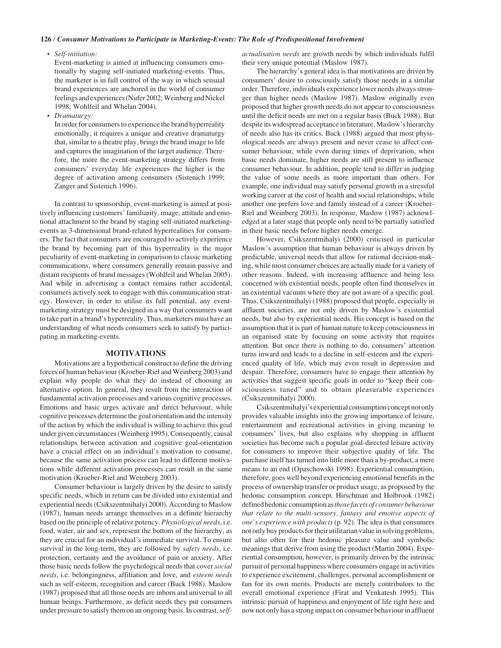### **126 /** *Consumer Motivations to Participate in Marketing-Events: The Role of Predispositional Involvement*

#### • *Self-initiation:*

Event-marketing is aimed at influencing consumers emotionally by staging self-initiated marketing-events. Thus, the marketer is in full control of the way in which sensual brand experiences are anchored in the world of consumer feelings and experiences (Nufer 2002; Weinberg and Nickel 1998; Wohlfeil and Whelan 2004).

• *Dramaturgy:*

In order for consumers to experience the brand hyperreality emotionally, it requires a unique and creative dramaturgy that, similar to a theatre play, brings the brand image to life and captures the imagination of the target audience. Therefore, the more the event-marketing strategy differs from consumers' everyday life experiences the higher is the degree of activation among consumers (Sistenich 1999; Zanger and Sistenich 1996).

In contrast to sponsorship, event-marketing is aimed at positively influencing customers' familiarity, image, attitude and emotional attachment to the brand by staging self-initiated marketingevents as 3-dimensional brand-related hyperrealities for consumers. The fact that consumers are encouraged to actively experience the brand by becoming part of this hyperreality is the major peculiarity of event-marketing in comparison to classic marketing communications, where consumers generally remain passive and distant recipients of brand messages (Wohlfeil and Whelan 2005). And while in advertising a contact remains rather accidental, consumers actively seek to engage with this communication strategy. However, in order to utilise its full potential, any eventmarketing strategy must be designed in a way that consumers want to take part in a brand's hyperreality. Thus, marketers must have an understanding of what needs consumers seek to satisfy by participating in marketing-events.

#### **MOTIVATIONS**

Motivations are a hypothetical construct to define the driving forces of human behaviour (Kroeber-Riel and Weinberg 2003) and explain why people do what they do instead of choosing an alternative option. In general, they result from the interaction of fundamental activation processes and various cognitive processes. Emotions and basic urges activate and direct behaviour, while cognitive processes determine the goal orientation and the intensity of the action by which the individual is willing to achieve this goal under given circumstances (Weinberg 1995). Consequently, causal relationships between activation and cognitive goal-orientation have a crucial effect on an individual's motivation to consume, because the same activation process can lead to different motivations while different activation processes can result in the same motivation (Kroeber-Riel and Weinberg 2003).

Consumer behaviour is largely driven by the desire to satisfy specific needs, which in return can be divided into existential and experiential needs (Csikszentmihalyi 2000). According to Maslow (1987), human needs arrange themselves in a definite hierarchy based on the principle of relative potency. *Physiological needs*, i.e. food, water, air and sex, represent the bottom of the hierarchy, as they are crucial for an individual's immediate survival. To ensure survival in the long-term, they are followed by *safety needs*, i.e. protection, certainty and the avoidance of pain or anxiety. After those basic needs follow the psychological needs that cover *social needs*, i.e. belongingness, affiliation and love, and *esteem needs* such as self-esteem, recognition and career (Buck 1988). Maslow (1987) proposed that all those needs are inborn and universal to all human beings. Furthermore, as deficit needs they put consumers under pressure to satisfy them on an ongoing basis. In contrast, *self-* *actualisation needs* are growth needs by which individuals fulfil their very unique potential (Maslow 1987).

The hierarchy's general idea is that motivations are driven by consumers' desire to consciously satisfy those needs in a similar order. Therefore, individuals experience lower needs always stronger than higher needs (Maslow 1987). Maslow originally even proposed that higher growth needs do not appear to consciousness until the deficit needs are met on a regular basis (Buck 1988). But despite its widespread acceptance in literature, Maslow's hierarchy of needs also has its critics. Buck (1988) argued that most physiological needs are always present and never cease to affect consumer behaviour, while even during times of deprivation, when basic needs dominate, higher needs are still present to influence consumer behaviour. In addition, people tend to differ in judging the value of some needs as more important than others. For example, one individual may satisfy personal growth in a stressful working career at the cost of health and social relationships, while another one prefers love and family instead of a career (Kroeber-Riel and Weinberg 2003). In response, Maslow (1987) acknowledged at a later stage that people only need to be partially satisfied in their basic needs before higher needs emerge.

However, Csikszentmihalyi (2000) criticised in particular Maslow's assumption that human behaviour is always driven by predictable, universal needs that allow for rational decision-making, while most consumer choices are actually made for a variety of other reasons. Indeed, with increasing affluence and being less concerned with existential needs, people often find themselves in an existential vacuum where they are not aware of a specific goal. Thus, Csikszentmihalyi (1988) proposed that people, especially in affluent societies, are not only driven by Maslow's existential needs, but also by experiential needs. His concept is based on the assumption that it is part of human nature to keep consciousness in an organised state by focusing on some activity that requires attention. But once there is nothing to do, consumers' attention turns inward and leads to a decline in self-esteem and the experienced quality of life, which may even result in depression and despair. Therefore, consumers have to engage their attention by activities that suggest specific goals in order to "keep their consciousness tuned" and to obtain pleasurable experiences (Csikszentmihalyi 2000).

Csikszentmihalyi's experiential consumption concept not only provides valuable insights into the growing importance of leisure, entertainment and recreational activities in giving meaning to consumers' lives, but also explains why shopping in affluent societies has become such a popular goal-directed leisure activity for consumers to improve their subjective quality of life. The purchase itself has turned into little more than a by-product, a mere means to an end (Opaschowski 1998). Experiential consumption, therefore, goes well beyond experiencing emotional benefits in the process of ownership transfer or product usage, as proposed by the hedonic consumption concept. Hirschman and Holbrook (1982) defined hedonic consumption as *those facets of consumer behaviour that relate to the multi-sensory, fantasy and emotive aspects of one's experience with products* (p. 92). The idea is that consumers not only buy products for their utilitarian value in solving problems, but also often for their hedonic pleasure value and symbolic meanings that derive from using the product (Martin 2004). Experiential consumption, however, is primarily driven by the intrinsic pursuit of personal happiness where consumers engage in activities to experience excitement, challenges, personal accomplishment or fun for its own merits. Products are merely contributors to the overall emotional experience (Firat and Venkatesh 1995). This intrinsic pursuit of happiness and enjoyment of life right here and now not only has a strong impact on consumer behaviour in affluent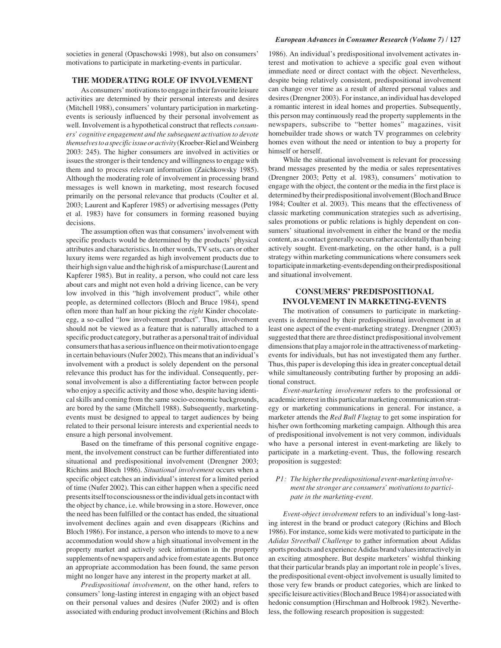#### *European Advances in Consumer Research (Volume 7)* **/ 127**

societies in general (Opaschowski 1998), but also on consumers' motivations to participate in marketing-events in particular.

# **THE MODERATING ROLE OF INVOLVEMENT**

As consumers' motivations to engage in their favourite leisure activities are determined by their personal interests and desires (Mitchell 1988), consumers' voluntary participation in marketingevents is seriously influenced by their personal involvement as well. Involvement is a hypothetical construct that reflects *consumers' cognitive engagement and the subsequent activation to devote themselves to a specific issue or activity* (Kroeber-Riel and Weinberg 2003: 245). The higher consumers are involved in activities or issues the stronger is their tendency and willingness to engage with them and to process relevant information (Zaichkowsky 1985). Although the moderating role of involvement in processing brand messages is well known in marketing, most research focused primarily on the personal relevance that products (Coulter et al. 2003; Laurent and Kapferer 1985) or advertising messages (Petty et al. 1983) have for consumers in forming reasoned buying decisions.

The assumption often was that consumers' involvement with specific products would be determined by the products' physical attributes and characteristics. In other words, TV sets, cars or other luxury items were regarded as high involvement products due to their high sign value and the high risk of a mispurchase (Laurent and Kapferer 1985). But in reality, a person, who could not care less about cars and might not even hold a driving licence, can be very low involved in this "high involvement product", while other people, as determined collectors (Bloch and Bruce 1984), spend often more than half an hour picking the *right* Kinder chocolateegg, a so-called "low involvement product". Thus, involvement should not be viewed as a feature that is naturally attached to a specific product category, but rather as a personal trait of individual consumers that has a serious influence on their motivation to engage in certain behaviours (Nufer 2002). This means that an individual's involvement with a product is solely dependent on the personal relevance this product has for the individual. Consequently, personal involvement is also a differentiating factor between people who enjoy a specific activity and those who, despite having identical skills and coming from the same socio-economic backgrounds, are bored by the same (Mitchell 1988). Subsequently, marketingevents must be designed to appeal to target audiences by being related to their personal leisure interests and experiential needs to ensure a high personal involvement.

Based on the timeframe of this personal cognitive engagement, the involvement construct can be further differentiated into situational and predispositional involvement (Drengner 2003; Richins and Bloch 1986). *Situational involvement* occurs when a specific object catches an individual's interest for a limited period of time (Nufer 2002). This can either happen when a specific need presents itself to consciousness or the individual gets in contact with the object by chance, i.e. while browsing in a store. However, once the need has been fulfilled or the contact has ended, the situational involvement declines again and even disappears (Richins and Bloch 1986). For instance, a person who intends to move to a new accommodation would show a high situational involvement in the property market and actively seek information in the property supplements of newspapers and advice from estate agents. But once an appropriate accommodation has been found, the same person might no longer have any interest in the property market at all.

*Predispositional involvement*, on the other hand, refers to consumers' long-lasting interest in engaging with an object based on their personal values and desires (Nufer 2002) and is often associated with enduring product involvement (Richins and Bloch

1986). An individual's predispositional involvement activates interest and motivation to achieve a specific goal even without immediate need or direct contact with the object. Nevertheless, despite being relatively consistent, predispositional involvement can change over time as a result of altered personal values and desires (Drengner 2003). For instance, an individual has developed a romantic interest in ideal homes and properties. Subsequently, this person may continuously read the property supplements in the newspapers, subscribe to "better homes" magazines, visit homebuilder trade shows or watch TV programmes on celebrity homes even without the need or intention to buy a property for himself or herself.

While the situational involvement is relevant for processing brand messages presented by the media or sales representatives (Drengner 2003; Petty et al. 1983), consumers' motivation to engage with the object, the content or the media in the first place is determined by their predispositional involvement (Bloch and Bruce 1984; Coulter et al. 2003). This means that the effectiveness of classic marketing communication strategies such as advertising, sales promotions or public relations is highly dependent on consumers' situational involvement in either the brand or the media content, as a contact generally occurs rather accidentally than being actively sought. Event-marketing, on the other hand, is a pull strategy within marketing communications where consumers seek to participate in marketing-events depending on their predispositional and situational involvement.

# **CONSUMERS' PREDISPOSITIONAL INVOLVEMENT IN MARKETING-EVENTS**

The motivation of consumers to participate in marketingevents is determined by their predispositional involvement in at least one aspect of the event-marketing strategy. Drengner (2003) suggested that there are three distinct predispositional involvement dimensions that play a major role in the attractiveness of marketingevents for individuals, but has not investigated them any further. Thus, this paper is developing this idea in greater conceptual detail while simultaneously contributing further by proposing an additional construct.

*Event-marketing involvement* refers to the professional or academic interest in this particular marketing communication strategy or marketing communications in general. For instance, a marketer attends the *Red Bull Flugtag* to get some inspiration for his/her own forthcoming marketing campaign. Although this area of predispositional involvement is not very common, individuals who have a personal interest in event-marketing are likely to participate in a marketing-event. Thus, the following research proposition is suggested:

## *P1: The higher the predispositional event-marketing involvement the stronger are consumers' motivations to participate in the marketing-event.*

*Event-object involvement* refers to an individual's long-lasting interest in the brand or product category (Richins and Bloch 1986). For instance, some kids were motivated to participate in the *Adidas Streetball Challenge* to gather information about Adidas sports products and experience Adidas brand values interactively in an exciting atmosphere. But despite marketers' wishful thinking that their particular brands play an important role in people's lives, the predispositional event-object involvement is usually limited to those very few brands or product categories, which are linked to specific leisure activities (Bloch and Bruce 1984) or associated with hedonic consumption (Hirschman and Holbrook 1982). Nevertheless, the following research proposition is suggested: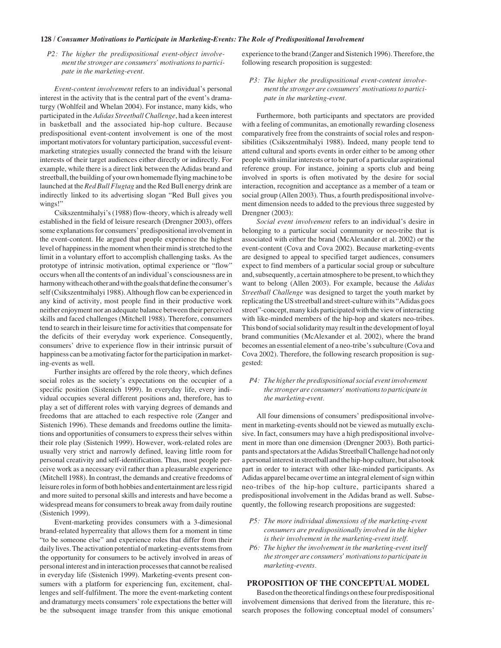## **128 /** *Consumer Motivations to Participate in Marketing-Events: The Role of Predispositional Involvement*

*P2: The higher the predispositional event-object involvement the stronger are consumers' motivations to participate in the marketing-event.*

*Event-content involvement* refers to an individual's personal interest in the activity that is the central part of the event's dramaturgy (Wohlfeil and Whelan 2004). For instance, many kids, who participated in the *Adidas Streetball Challenge*, had a keen interest in basketball and the associated hip-hop culture. Because predispositional event-content involvement is one of the most important motivators for voluntary participation, successful eventmarketing strategies usually connected the brand with the leisure interests of their target audiences either directly or indirectly. For example, while there is a direct link between the Adidas brand and streetball, the building of your own homemade flying machine to be launched at the *Red Bull Flugtag* and the Red Bull energy drink are indirectly linked to its advertising slogan "Red Bull gives you wings!"

Csikszentmihalyi's (1988) flow-theory, which is already well established in the field of leisure research (Drengner 2003), offers some explanations for consumers' predispositional involvement in the event-content. He argued that people experience the highest level of happiness in the moment when their mind is stretched to the limit in a voluntary effort to accomplish challenging tasks. As the prototype of intrinsic motivation, optimal experience or "flow" occurs when all the contents of an individual's consciousness are in harmony with each other and with the goals that define the consumer's self (Csikszentmihalyi 1988). Although flow can be experienced in any kind of activity, most people find in their productive work neither enjoyment nor an adequate balance between their perceived skills and faced challenges (Mitchell 1988). Therefore, consumers tend to search in their leisure time for activities that compensate for the deficits of their everyday work experience. Consequently, consumers' drive to experience flow in their intrinsic pursuit of happiness can be a motivating factor for the participation in marketing-events as well.

Further insights are offered by the role theory, which defines social roles as the society's expectations on the occupier of a specific position (Sistenich 1999). In everyday life, every individual occupies several different positions and, therefore, has to play a set of different roles with varying degrees of demands and freedoms that are attached to each respective role (Zanger and Sistenich 1996). These demands and freedoms outline the limitations and opportunities of consumers to express their selves within their role play (Sistenich 1999). However, work-related roles are usually very strict and narrowly defined, leaving little room for personal creativity and self-identification. Thus, most people perceive work as a necessary evil rather than a pleasurable experience (Mitchell 1988). In contrast, the demands and creative freedoms of leisure roles in form of both hobbies and entertainment are less rigid and more suited to personal skills and interests and have become a widespread means for consumers to break away from daily routine (Sistenich 1999).

Event-marketing provides consumers with a 3-dimesional brand-related hyperreality that allows them for a moment in time "to be someone else" and experience roles that differ from their daily lives. The activation potential of marketing-events stems from the opportunity for consumers to be actively involved in areas of personal interest and in interaction processes that cannot be realised in everyday life (Sistenich 1999). Marketing-events present consumers with a platform for experiencing fun, excitement, challenges and self-fulfilment. The more the event-marketing content and dramaturgy meets consumers' role expectations the better will be the subsequent image transfer from this unique emotional experience to the brand (Zanger and Sistenich 1996). Therefore, the following research proposition is suggested:

*P3: The higher the predispositional event-content involvement the stronger are consumers' motivations to participate in the marketing-event.*

Furthermore, both participants and spectators are provided with a feeling of communitas, an emotionally rewarding closeness comparatively free from the constraints of social roles and responsibilities (Csikszentmihalyi 1988). Indeed, many people tend to attend cultural and sports events in order either to be among other people with similar interests or to be part of a particular aspirational reference group. For instance, joining a sports club and being involved in sports is often motivated by the desire for social interaction, recognition and acceptance as a member of a team or social group (Allen 2003). Thus, a fourth predispositional involvement dimension needs to added to the previous three suggested by Drengner (2003):

*Social event involvement* refers to an individual's desire in belonging to a particular social community or neo-tribe that is associated with either the brand (McAlexander et al. 2002) or the event-content (Cova and Cova 2002). Because marketing-events are designed to appeal to specified target audiences, consumers expect to find members of a particular social group or subculture and, subsequently, a certain atmosphere to be present, to which they want to belong (Allen 2003). For example, because the *Adidas Streetball Challenge* was designed to target the youth market by replicating the US streetball and street-culture with its "Adidas goes street"-concept, many kids participated with the view of interacting with like-minded members of the hip-hop and skaters neo-tribes. This bond of social solidarity may result in the development of loyal brand communities (McAlexander et al. 2002), where the brand becomes an essential element of a neo-tribe's subculture (Cova and Cova 2002). Therefore, the following research proposition is suggested:

## *P4: The higher the predispositional social event involvement the stronger are consumers' motivations to participate in the marketing-event.*

All four dimensions of consumers' predispositional involvement in marketing-events should not be viewed as mutually exclusive. In fact, consumers may have a high predispositional involvement in more than one dimension (Drengner 2003). Both participants and spectators at the Adidas Streetball Challenge had not only a personal interest in streetball and the hip-hop culture, but also took part in order to interact with other like-minded participants. As Adidas apparel became over time an integral element of sign within neo-tribes of the hip-hop culture, participants shared a predispositional involvement in the Adidas brand as well. Subsequently, the following research propositions are suggested:

- *P5: The more individual dimensions of the marketing-event consumers are predispositionally involved in the higher is their involvement in the marketing-event itself.*
- *P6: The higher the involvement in the marketing-event itself the stronger are consumers' motivations to participate in marketing-events.*

## **PROPOSITION OF THE CONCEPTUAL MODEL**

Based on the theoretical findings on these four predispositional involvement dimensions that derived from the literature, this research proposes the following conceptual model of consumers'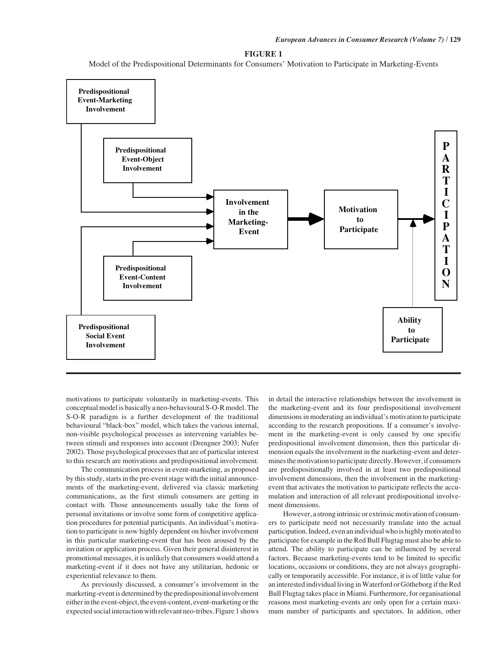**FIGURE 1**

Model of the Predispositional Determinants for Consumers' Motivation to Participate in Marketing-Events



motivations to participate voluntarily in marketing-events. This conceptual model is basically a neo-behavioural S-O-R model. The S-O-R paradigm is a further development of the traditional behavioural "black-box" model, which takes the various internal, non-visible psychological processes as intervening variables between stimuli and responses into account (Drengner 2003; Nufer 2002). Those psychological processes that are of particular interest to this research are motivations and predispositional involvement.

The communication process in event-marketing, as proposed by this study, starts in the pre-event stage with the initial announcements of the marketing-event, delivered via classic marketing communications, as the first stimuli consumers are getting in contact with. Those announcements usually take the form of personal invitations or involve some form of competitive application procedures for potential participants. An individual's motivation to participate is now highly dependent on his/her involvement in this particular marketing-event that has been aroused by the invitation or application process. Given their general disinterest in promotional messages, it is unlikely that consumers would attend a marketing-event if it does not have any utilitarian, hedonic or experiential relevance to them.

As previously discussed, a consumer's involvement in the marketing-event is determined by the predispositional involvement either in the event-object, the event-content, event-marketing or the expected social interaction with relevant neo-tribes. Figure 1 shows

in detail the interactive relationships between the involvement in the marketing-event and its four predispositional involvement dimensions in moderating an individual's motivation to participate according to the research propositions. If a consumer's involvement in the marketing-event is only caused by one specific predispositional involvement dimension, then this particular dimension equals the involvement in the marketing-event and determines the motivation to participate directly. However, if consumers are predispositionally involved in at least two predispositional involvement dimensions, then the involvement in the marketingevent that activates the motivation to participate reflects the accumulation and interaction of all relevant predispositional involvement dimensions.

However, a strong intrinsic or extrinsic motivation of consumers to participate need not necessarily translate into the actual participation. Indeed, even an individual who is highly motivated to participate for example in the Red Bull Flugtag must also be able to attend. The ability to participate can be influenced by several factors. Because marketing-events tend to be limited to specific locations, occasions or conditions, they are not always geographically or temporarily accessible. For instance, it is of little value for an interested individual living in Waterford or Götheborg if the Red Bull Flugtag takes place in Miami. Furthermore, for organisational reasons most marketing-events are only open for a certain maximum number of participants and spectators. In addition, other